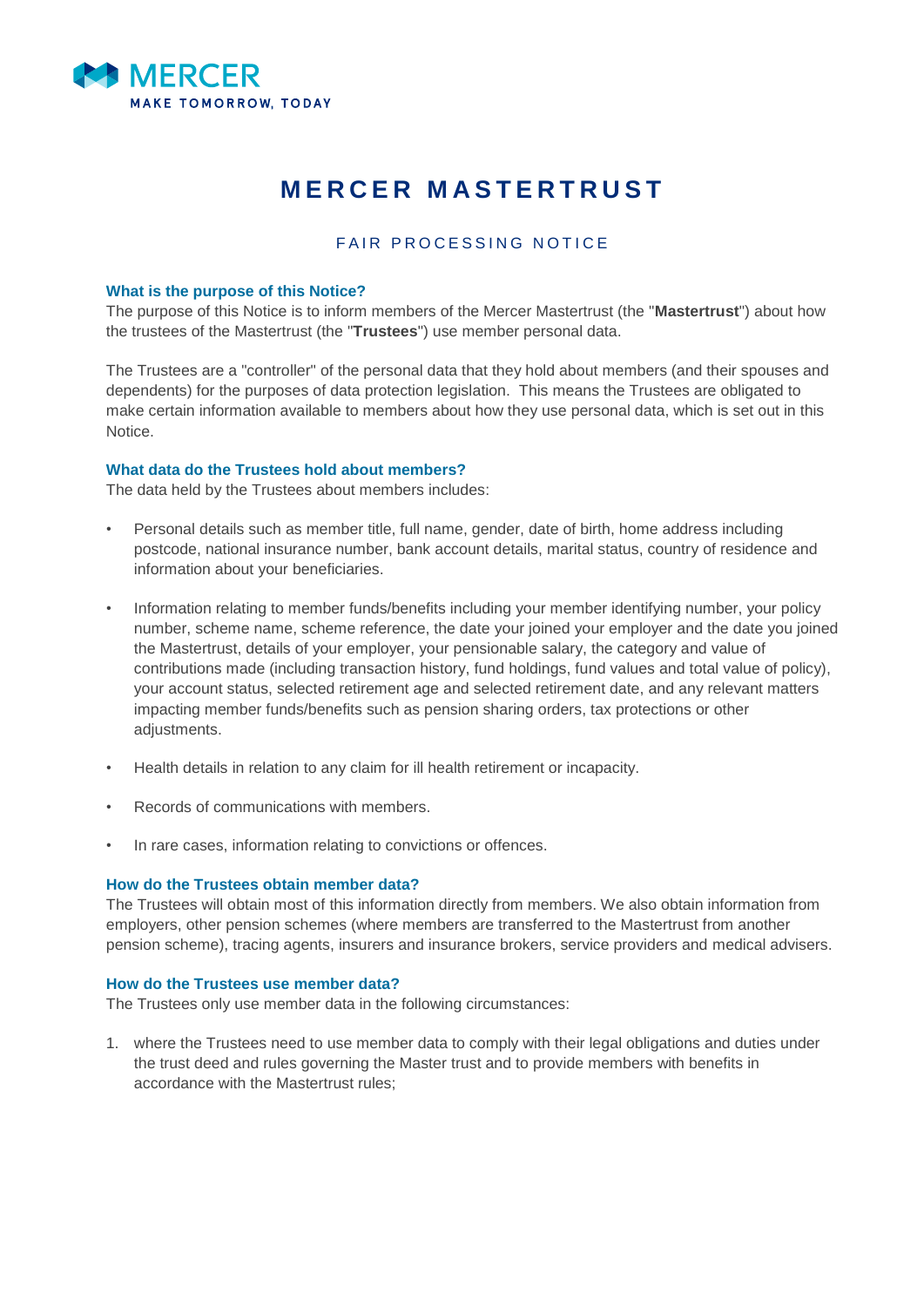

# **MERCER MASTERTRUST**

# FAIR PROCESSING NOTICE

#### **What is the purpose of this Notice?**

The purpose of this Notice is to inform members of the Mercer Mastertrust (the "**Mastertrust**") about how the trustees of the Mastertrust (the "**Trustees**") use member personal data.

The Trustees are a "controller" of the personal data that they hold about members (and their spouses and dependents) for the purposes of data protection legislation. This means the Trustees are obligated to make certain information available to members about how they use personal data, which is set out in this Notice.

# **What data do the Trustees hold about members?**

The data held by the Trustees about members includes:

- Personal details such as member title, full name, gender, date of birth, home address including postcode, national insurance number, bank account details, marital status, country of residence and information about your beneficiaries.
- Information relating to member funds/benefits including your member identifying number, your policy number, scheme name, scheme reference, the date your joined your employer and the date you joined the Mastertrust, details of your employer, your pensionable salary, the category and value of contributions made (including transaction history, fund holdings, fund values and total value of policy), your account status, selected retirement age and selected retirement date, and any relevant matters impacting member funds/benefits such as pension sharing orders, tax protections or other adiustments.
- Health details in relation to any claim for ill health retirement or incapacity.
- Records of communications with members.
- In rare cases, information relating to convictions or offences.

#### **How do the Trustees obtain member data?**

The Trustees will obtain most of this information directly from members. We also obtain information from employers, other pension schemes (where members are transferred to the Mastertrust from another pension scheme), tracing agents, insurers and insurance brokers, service providers and medical advisers.

# **How do the Trustees use member data?**

The Trustees only use member data in the following circumstances:

1. where the Trustees need to use member data to comply with their legal obligations and duties under the trust deed and rules governing the Master trust and to provide members with benefits in accordance with the Mastertrust rules;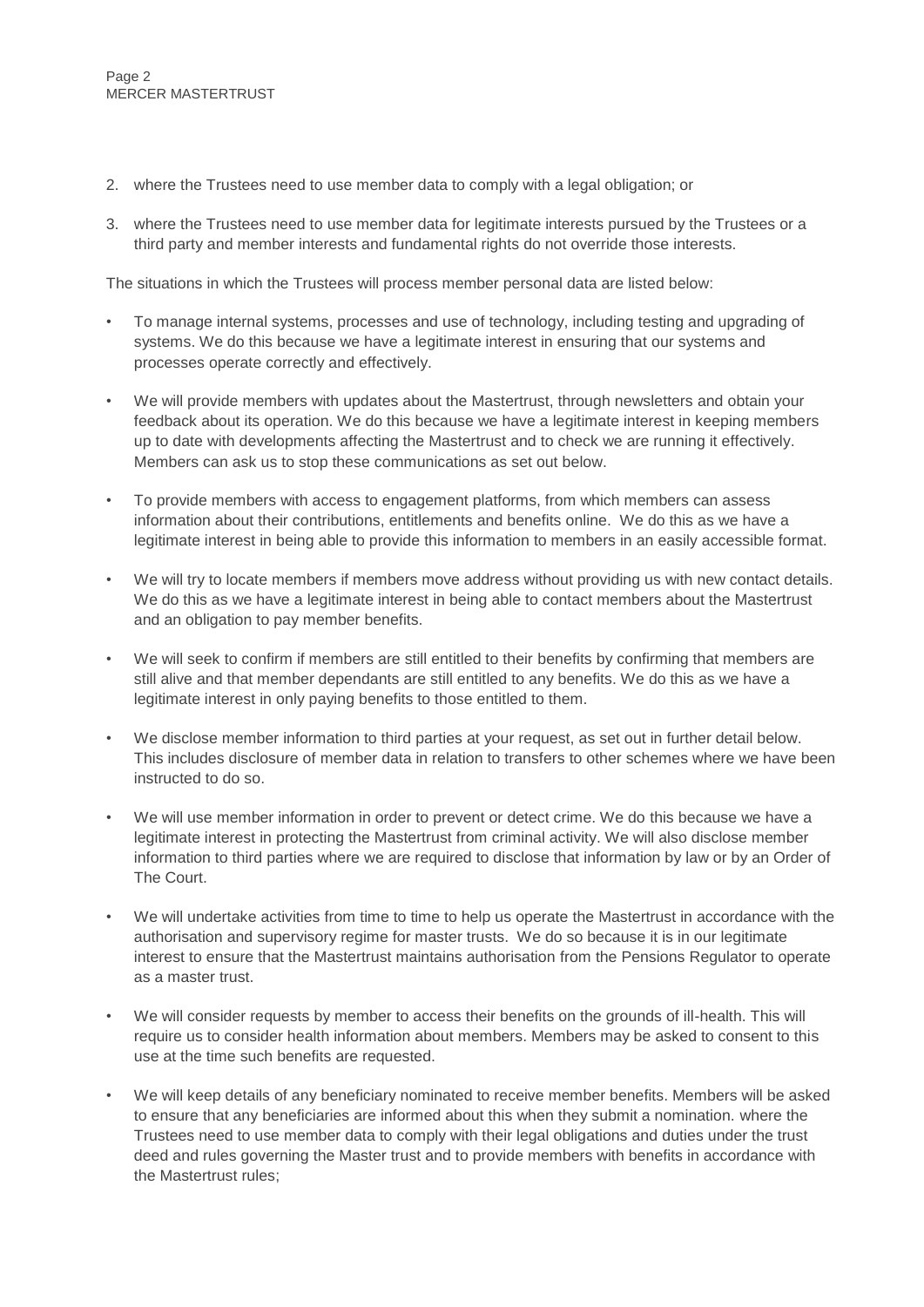- 2. where the Trustees need to use member data to comply with a legal obligation; or
- 3. where the Trustees need to use member data for legitimate interests pursued by the Trustees or a third party and member interests and fundamental rights do not override those interests.

The situations in which the Trustees will process member personal data are listed below:

- To manage internal systems, processes and use of technology, including testing and upgrading of systems. We do this because we have a legitimate interest in ensuring that our systems and processes operate correctly and effectively.
- We will provide members with updates about the Mastertrust, through newsletters and obtain your feedback about its operation. We do this because we have a legitimate interest in keeping members up to date with developments affecting the Mastertrust and to check we are running it effectively. Members can ask us to stop these communications as set out below.
- To provide members with access to engagement platforms, from which members can assess information about their contributions, entitlements and benefits online. We do this as we have a legitimate interest in being able to provide this information to members in an easily accessible format.
- We will try to locate members if members move address without providing us with new contact details. We do this as we have a legitimate interest in being able to contact members about the Mastertrust and an obligation to pay member benefits.
- We will seek to confirm if members are still entitled to their benefits by confirming that members are still alive and that member dependants are still entitled to any benefits. We do this as we have a legitimate interest in only paying benefits to those entitled to them.
- We disclose member information to third parties at your request, as set out in further detail below. This includes disclosure of member data in relation to transfers to other schemes where we have been instructed to do so.
- We will use member information in order to prevent or detect crime. We do this because we have a legitimate interest in protecting the Mastertrust from criminal activity. We will also disclose member information to third parties where we are required to disclose that information by law or by an Order of The Court.
- We will undertake activities from time to time to help us operate the Mastertrust in accordance with the authorisation and supervisory regime for master trusts. We do so because it is in our legitimate interest to ensure that the Mastertrust maintains authorisation from the Pensions Regulator to operate as a master trust.
- We will consider requests by member to access their benefits on the grounds of ill-health. This will require us to consider health information about members. Members may be asked to consent to this use at the time such benefits are requested.
- We will keep details of any beneficiary nominated to receive member benefits. Members will be asked to ensure that any beneficiaries are informed about this when they submit a nomination. where the Trustees need to use member data to comply with their legal obligations and duties under the trust deed and rules governing the Master trust and to provide members with benefits in accordance with the Mastertrust rules;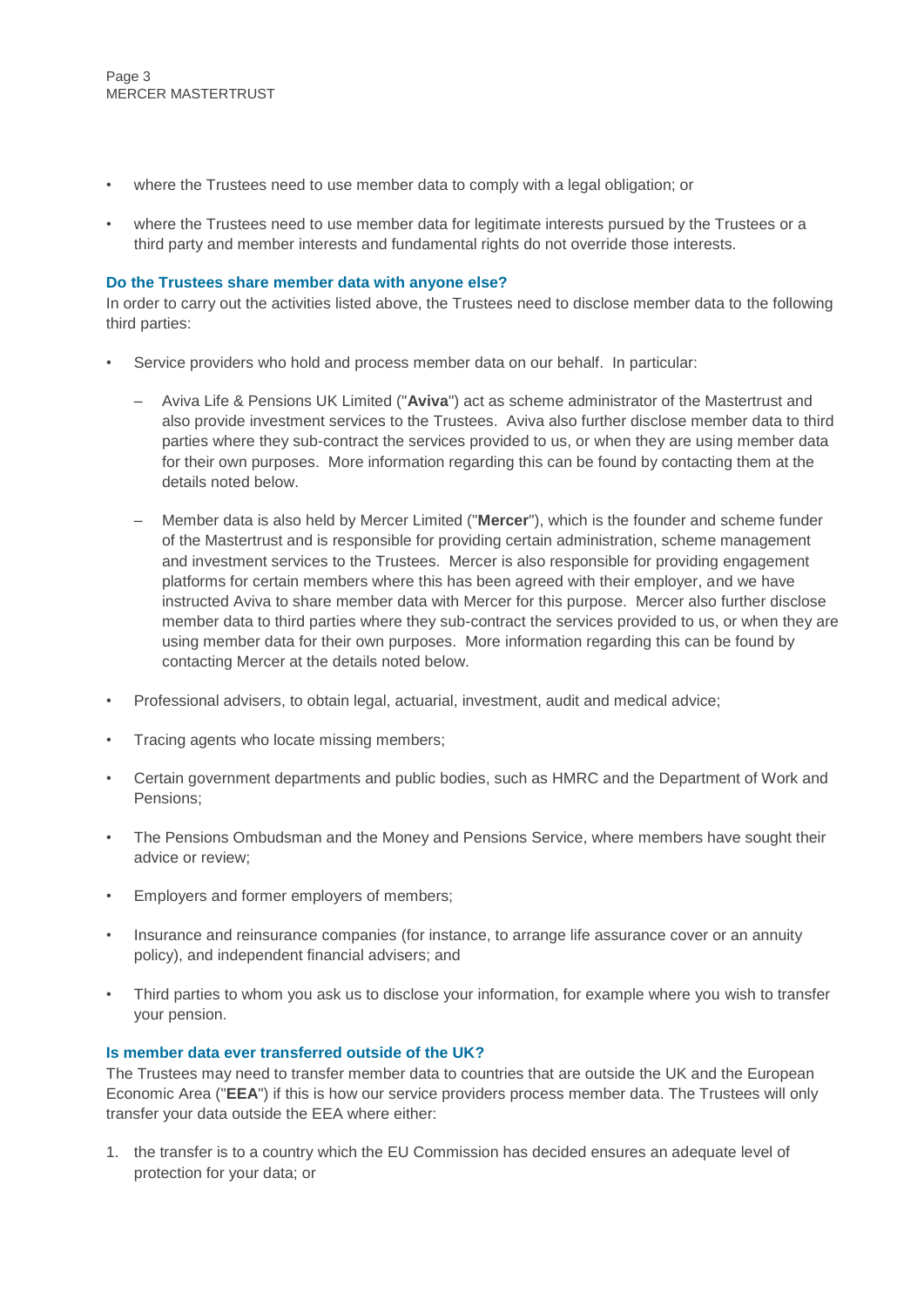- where the Trustees need to use member data to comply with a legal obligation; or
- where the Trustees need to use member data for legitimate interests pursued by the Trustees or a third party and member interests and fundamental rights do not override those interests.

#### **Do the Trustees share member data with anyone else?**

In order to carry out the activities listed above, the Trustees need to disclose member data to the following third parties:

- Service providers who hold and process member data on our behalf. In particular:
	- Aviva Life & Pensions UK Limited ("**Aviva**") act as scheme administrator of the Mastertrust and also provide investment services to the Trustees. Aviva also further disclose member data to third parties where they sub-contract the services provided to us, or when they are using member data for their own purposes. More information regarding this can be found by contacting them at the details noted below.
	- Member data is also held by Mercer Limited ("**Mercer**"), which is the founder and scheme funder of the Mastertrust and is responsible for providing certain administration, scheme management and investment services to the Trustees. Mercer is also responsible for providing engagement platforms for certain members where this has been agreed with their employer, and we have instructed Aviva to share member data with Mercer for this purpose. Mercer also further disclose member data to third parties where they sub-contract the services provided to us, or when they are using member data for their own purposes. More information regarding this can be found by contacting Mercer at the details noted below.
- Professional advisers, to obtain legal, actuarial, investment, audit and medical advice;
- Tracing agents who locate missing members;
- Certain government departments and public bodies, such as HMRC and the Department of Work and Pensions;
- The Pensions Ombudsman and the Money and Pensions Service, where members have sought their advice or review;
- Employers and former employers of members;
- Insurance and reinsurance companies (for instance, to arrange life assurance cover or an annuity policy), and independent financial advisers; and
- Third parties to whom you ask us to disclose your information, for example where you wish to transfer your pension.

## **Is member data ever transferred outside of the UK?**

The Trustees may need to transfer member data to countries that are outside the UK and the European Economic Area ("**EEA**") if this is how our service providers process member data. The Trustees will only transfer your data outside the EEA where either:

1. the transfer is to a country which the EU Commission has decided ensures an adequate level of protection for your data; or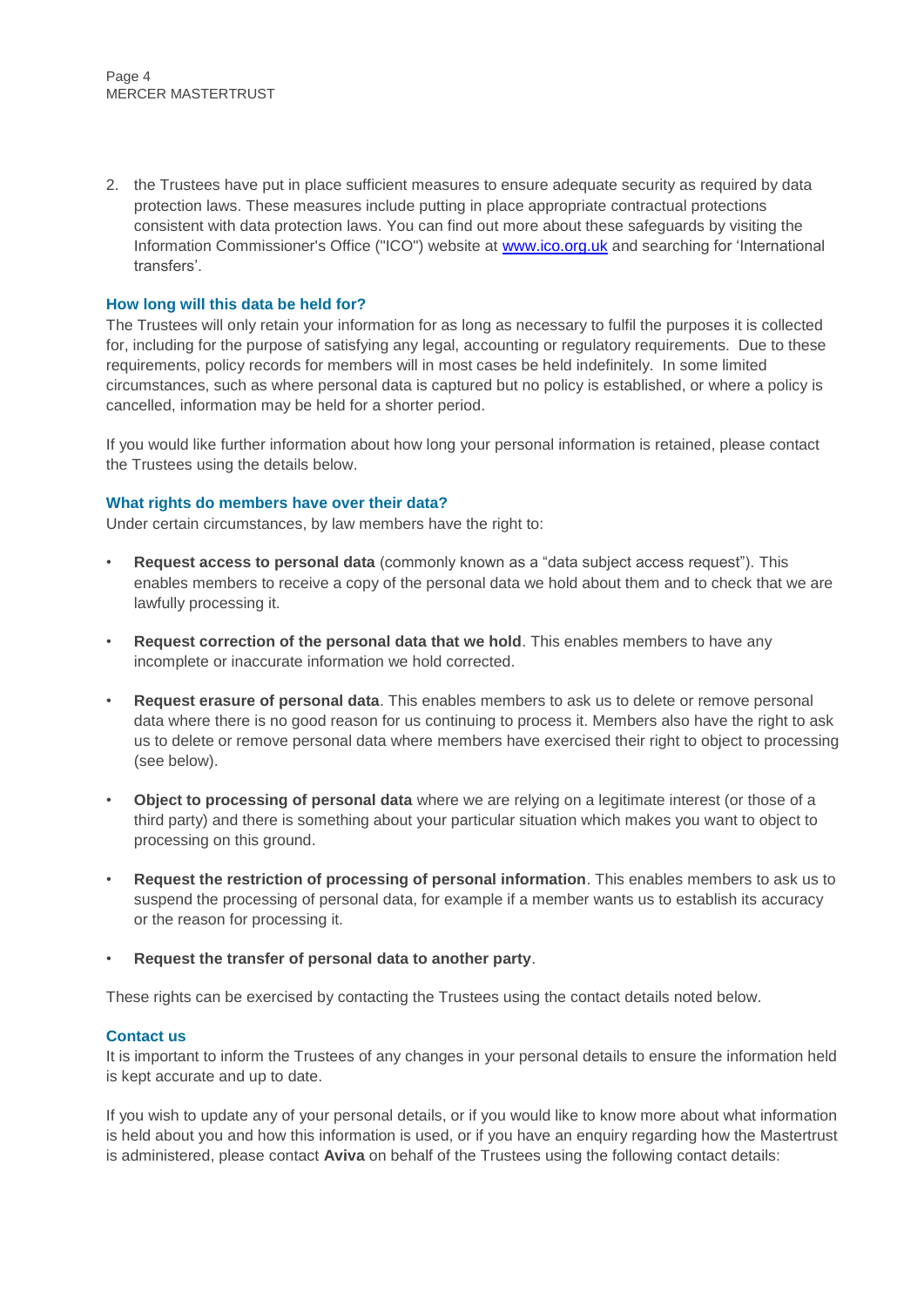2. the Trustees have put in place sufficient measures to ensure adequate security as required by data protection laws. These measures include putting in place appropriate contractual protections consistent with data protection laws. You can find out more about these safeguards by visiting the Information Commissioner's Office ("ICO") website at [www.ico.org.uk](http://www.ico.org.uk/) and searching for 'International transfers'.

# **How long will this data be held for?**

The Trustees will only retain your information for as long as necessary to fulfil the purposes it is collected for, including for the purpose of satisfying any legal, accounting or regulatory requirements. Due to these requirements, policy records for members will in most cases be held indefinitely. In some limited circumstances, such as where personal data is captured but no policy is established, or where a policy is cancelled, information may be held for a shorter period.

If you would like further information about how long your personal information is retained, please contact the Trustees using the details below.

#### **What rights do members have over their data?**

Under certain circumstances, by law members have the right to:

- **Request access to personal data** (commonly known as a "data subject access request"). This enables members to receive a copy of the personal data we hold about them and to check that we are lawfully processing it.
- **Request correction of the personal data that we hold**. This enables members to have any incomplete or inaccurate information we hold corrected.
- **Request erasure of personal data**. This enables members to ask us to delete or remove personal data where there is no good reason for us continuing to process it. Members also have the right to ask us to delete or remove personal data where members have exercised their right to object to processing (see below).
- **Object to processing of personal data** where we are relying on a legitimate interest (or those of a third party) and there is something about your particular situation which makes you want to object to processing on this ground.
- **Request the restriction of processing of personal information**. This enables members to ask us to suspend the processing of personal data, for example if a member wants us to establish its accuracy or the reason for processing it.
- **Request the transfer of personal data to another party**.

These rights can be exercised by contacting the Trustees using the contact details noted below.

#### **Contact us**

It is important to inform the Trustees of any changes in your personal details to ensure the information held is kept accurate and up to date.

If you wish to update any of your personal details, or if you would like to know more about what information is held about you and how this information is used, or if you have an enquiry regarding how the Mastertrust is administered, please contact **Aviva** on behalf of the Trustees using the following contact details: